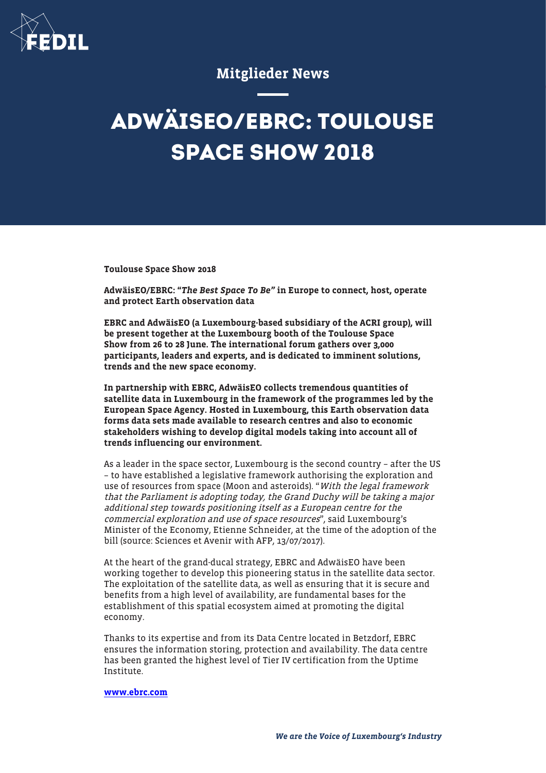

## Mitglieder News

## **ADWÄISEO/EBRC: TOULOUSE SPACE SHOW 2018**

Toulouse Space Show 2018

AdwäisEO/EBRC: "The Best Space To Be" in Europe to connect, host, operate and protect Earth observation data

EBRC and AdwäisEO (a Luxembourg-based subsidiary of the ACRI group), will be present together at the Luxembourg booth of the Toulouse Space Show from 26 to 28 June. The international forum gathers over 3,000 participants, leaders and experts, and is dedicated to imminent solutions, trends and the new space economy.

In partnership with EBRC, AdwäisEO collects tremendous quantities of satellite data in Luxembourg in the framework of the programmes led by the European Space Agency. Hosted in Luxembourg, this Earth observation data forms data sets made available to research centres and also to economic stakeholders wishing to develop digital models taking into account all of trends influencing our environment.

As a leader in the space sector, Luxembourg is the second country – after the US – to have established a legislative framework authorising the exploration and use of resources from space (Moon and asteroids). "With the legal framework that the Parliament is adopting today, the Grand Duchy will be taking a major additional step towards positioning itself as a European centre for the commercial exploration and use of space resources", said Luxembourg's Minister of the Economy, Etienne Schneider, at the time of the adoption of the bill (source: Sciences et Avenir with AFP, 13/07/2017).

At the heart of the grand-ducal strategy, EBRC and AdwäisEO have been working together to develop this pioneering status in the satellite data sector. The exploitation of the satellite data, as well as ensuring that it is secure and benefits from a high level of availability, are fundamental bases for the establishment of this spatial ecosystem aimed at promoting the digital economy.

Thanks to its expertise and from its Data Centre located in Betzdorf, EBRC ensures the information storing, protection and availability. The data centre has been granted the highest level of Tier IV certification from the Uptime Institute.

## [www.ebrc.com](http://www.ebrc.com)